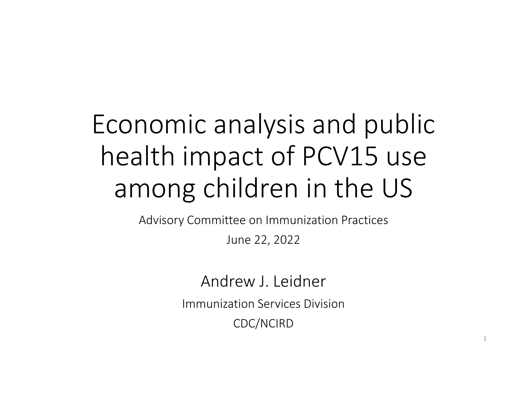# Economic analysis and public health impact of PCV15 use among children in the US

Advisory Committee on Immunization Practices

June 22, 2022

Andrew J. LeidnerImmunization Services DivisionCDC/NCIRD

1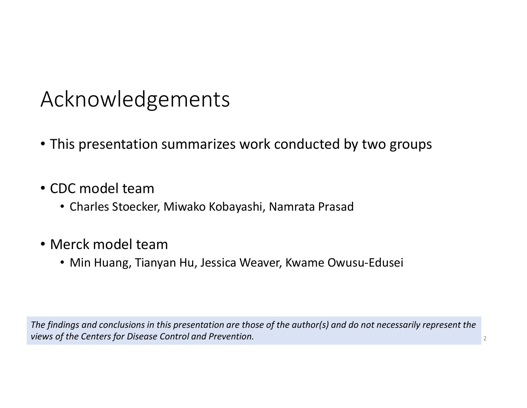## Acknowledgements

- This presentation summarizes work conducted by two groups
- CDC model team
	- Charles Stoecker, Miwako Kobayashi, Namrata Prasad
- Merck model team
	- Min Huang, Tianyan Hu, Jessica Weaver, Kwame Owusu-Edusei

The findings and conclusions in this presentation are those of the author(s) and do not necessarily represent the views of the Centers for Disease Control and Prevention.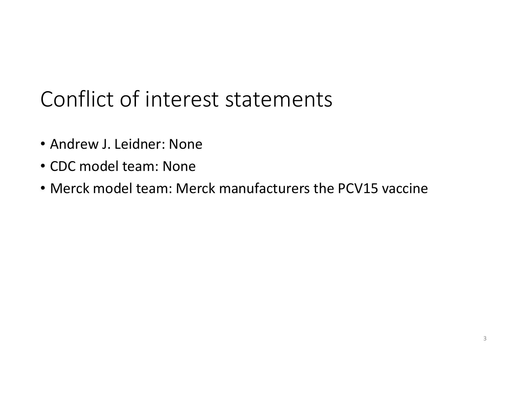# Conflict of interest statements

- Andrew J. Leidner: None
- CDC model team: None
- Merck model team: Merck manufacturers the PCV15 vaccine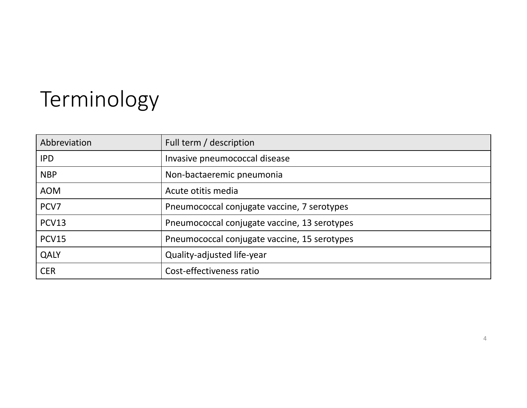# Terminology

| Abbreviation | Full term / description                      |  |
|--------------|----------------------------------------------|--|
| <b>IPD</b>   | Invasive pneumococcal disease                |  |
| <b>NBP</b>   | Non-bactaeremic pneumonia                    |  |
| <b>AOM</b>   | Acute otitis media                           |  |
| PCV7         | Pneumococcal conjugate vaccine, 7 serotypes  |  |
| PCV13        | Pneumococcal conjugate vaccine, 13 serotypes |  |
| <b>PCV15</b> | Pneumococcal conjugate vaccine, 15 serotypes |  |
| QALY         | Quality-adjusted life-year                   |  |
| <b>CER</b>   | Cost-effectiveness ratio                     |  |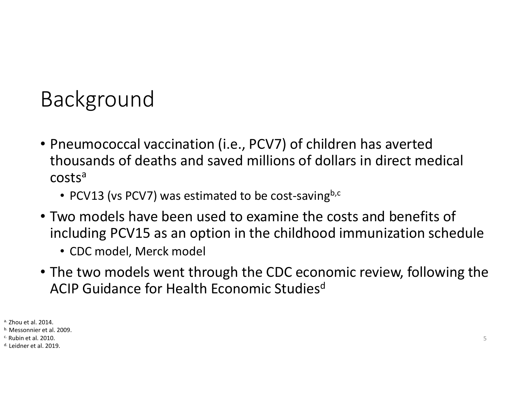# Background

- Pneumococcal vaccination (i.e., PCV7) of children has averted thousands of deaths and saved millions of dollars in direct medical costs<sup>a</sup>
	- PCV13 (vs PCV7) was estimated to be cost-saving $^{b,c}$
- Two models have been used to examine the costs and benefits of including PCV15 as an option in the childhood immunization schedule
	- CDC model, Merck model
- The two models went through the CDC economic review, following the ACIP Guidance for Health Economic Studies<sup>d</sup>

<sup>a.</sup> Zhou et al. 2014.

<sup>b.</sup> Messonnier et al. 2009.

<sup>c.</sup> Rubin et al. 2010.

<sup>d.</sup> Leidner et al. 2019.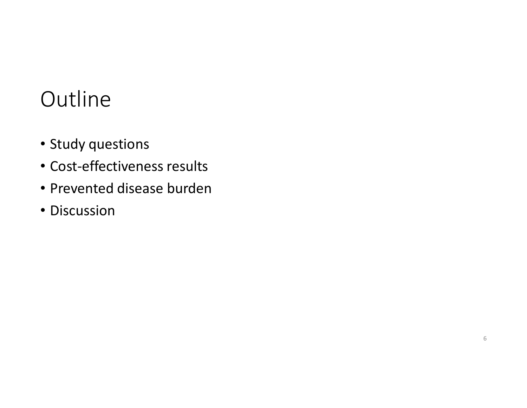## **Outline**

- Study questions
- Cost-effectiveness results
- Prevented disease burden
- Discussion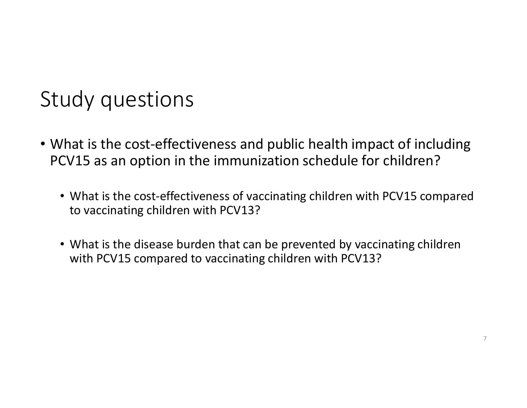### Study questions

- What is the cost-effectiveness and public health impact of including PCV15 as an option in the immunization schedule for children?
	- What is the cost-effectiveness of vaccinating children with PCV15 compared to vaccinating children with PCV13?
	- What is the disease burden that can be prevented by vaccinating children with PCV15 compared to vaccinating children with PCV13?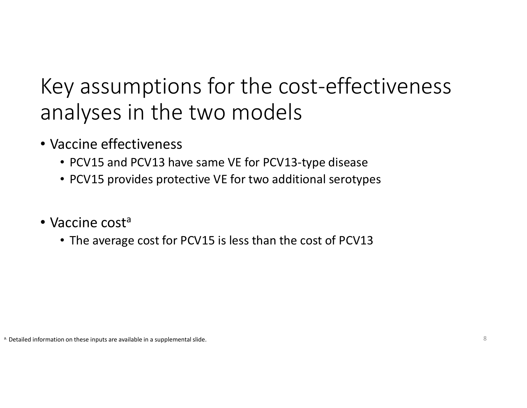# Key assumptions for the cost-effectiveness analyses in the two models

- Vaccine effectiveness
	- PCV15 and PCV13 have same VE for PCV13-type disease
	- PCV15 provides protective VE for two additional serotypes
- Vaccine cost<sup>a</sup>
	- The average cost for PCV15 is less than the cost of PCV13

<sup>a.</sup> Detailed information on these inputs are available in a supplemental slide.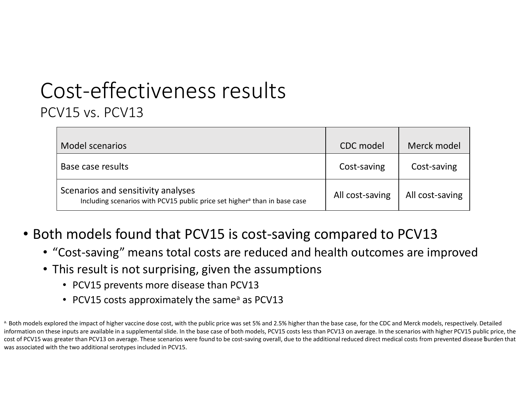#### Cost-effectiveness resultsPCV15 vs. PCV13

| Model scenarios                                                                                                             | CDC model       | Merck model     |
|-----------------------------------------------------------------------------------------------------------------------------|-----------------|-----------------|
| Base case results                                                                                                           | Cost-saving     | Cost-saving     |
| Scenarios and sensitivity analyses<br>Including scenarios with PCV15 public price set higher <sup>a</sup> than in base case | All cost-saving | All cost-saving |

- Both models found that PCV15 is cost-saving compared to PCV13
	- "Cost-saving" means total costs are reduced and health outcomes are improved
	- This result is not surprising, given the assumptions
		- PCV15 prevents more disease than PCV13
		- PCV15 costs approximately the same<sup>a</sup> as PCV13

cost of PCV15 was greater than PCV13 on average. These scenarios were found to be cost-saving overall, due to the additional reduced direct medical costs from prevented disease burden that <sup>a.</sup> Both models explored the impact of higher vaccine dose cost, with the public price was set 5% and 2.5% higher than the base case, for the CDC and Merck models, respectively. Detailed information on these inputs are available in a supplemental slide. In the base case of both models, PCV15 costs less than PCV13 on average. In the scenarios with higher PCV15 public price, the was associated with the two additional serotypes included in PCV15.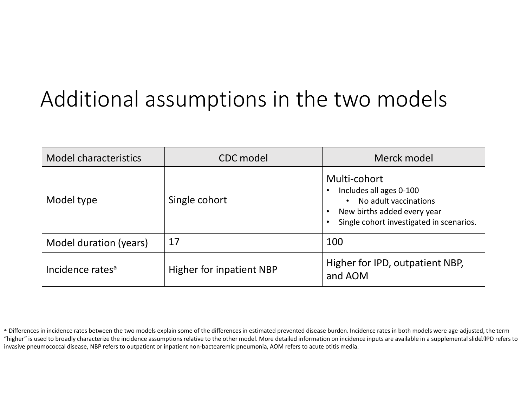# Additional assumptions in the two models

| <b>Model characteristics</b> | CDC model                       | Merck model                                                                                                                                              |  |  |
|------------------------------|---------------------------------|----------------------------------------------------------------------------------------------------------------------------------------------------------|--|--|
| Model type                   | Single cohort                   | Multi-cohort<br>Includes all ages 0-100<br>No adult vaccinations<br>$\bullet$<br>New births added every year<br>Single cohort investigated in scenarios. |  |  |
| Model duration (years)       | 17                              | 100                                                                                                                                                      |  |  |
| Incidence rates <sup>a</sup> | <b>Higher for inpatient NBP</b> | Higher for IPD, outpatient NBP,<br>and AOM                                                                                                               |  |  |

<sup>&</sup>quot;higher" is used to broadly characterize the incidence assumptions relative to the other model. More detailed information on incidence inputs are available in a supplemental slide. IPD refers to <sup>a.</sup> Differences in incidence rates between the two models explain some of the differences in estimated prevented disease burden. Incidence rates in both models were age-adjusted, the term invasive pneumococcal disease, NBP refers to outpatient or inpatient non-bactearemic pneumonia, AOM refers to acute otitis media.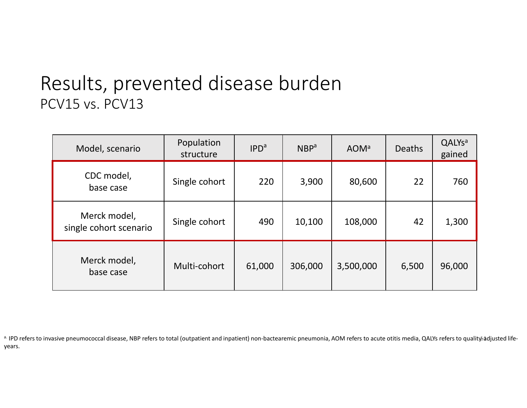#### Results, prevented disease burdenPCV15 vs. PCV13

| Model, scenario                        | Population<br>structure | IPD <sup>a</sup> | NBP <sup>a</sup> | <b>AOM</b> <sup>a</sup> | <b>Deaths</b> | QALYs <sup>a</sup><br>gained |
|----------------------------------------|-------------------------|------------------|------------------|-------------------------|---------------|------------------------------|
| CDC model,<br>base case                | Single cohort           | 220              | 3,900            | 80,600                  | 22            | 760                          |
| Merck model,<br>single cohort scenario | Single cohort           | 490              | 10,100           | 108,000                 | 42            | 1,300                        |
| Merck model,<br>base case              | Multi-cohort            | 61,000           | 306,000          | 3,500,000               | 6,500         | 96,000                       |

a. IPD refers to invasive pneumococcal disease, NBP refers to total (outpatient and inpatient) non-bactearemic pneumonia, AOM refers to acute otitis media, QALYs refers to quality<mark>±a</mark>djusted lifeyears.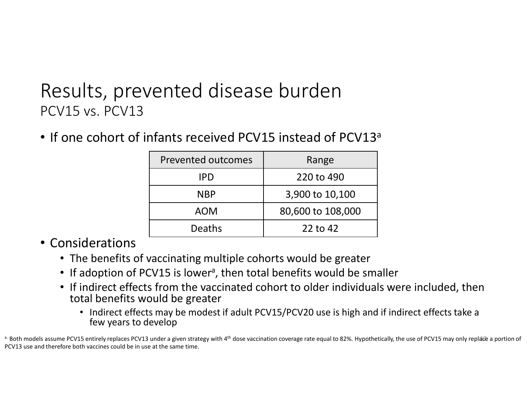#### Results, prevented disease burdenPCV15 vs. PCV13

• If one cohort of infants received PCV15 instead of PCV13<sup>a</sup>

| <b>Prevented outcomes</b> | Range             |  |  |
|---------------------------|-------------------|--|--|
| <b>IPD</b>                | 220 to 490        |  |  |
| <b>NBP</b>                | 3,900 to 10,100   |  |  |
| <b>AOM</b>                | 80,600 to 108,000 |  |  |
| <b>Deaths</b>             | 22 to 42          |  |  |

#### • Considerations

- The benefits of vaccinating multiple cohorts would be greater
- If adoption of PCV15 is lower<sup>a</sup>, then total benefits would be smaller
- If indirect effects from the vaccinated cohort to older individuals were included, then total benefits would be greater
	- Indirect effects may be modest if adult PCV15/PCV20 use is high and if indirect effects take a few years to develop

 $^{\rm a}$  Both models assume PCV15 entirely replaces PCV13 under a given strategy with 4<sup>th</sup> dose vaccination coverage rate equal to 82%. Hypothetically, the use of PCV15 may only replace a portion of PCV13 use and therefore both vaccines could be in use at the same time.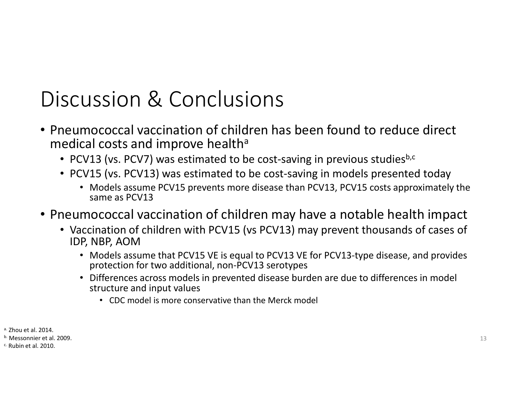### Discussion & Conclusions

- Pneumococcal vaccination of children has been found to reduce direct medical costs and improve health $^{\mathsf{a}}$ 
	- PCV13 (vs. PCV7) was estimated to be cost-saving in previous studies $^{\text{b,c}}$
	- PCV15 (vs. PCV13) was estimated to be cost-saving in models presented today
		- Models assume PCV15 prevents more disease than PCV13, PCV15 costs approximately the same as PCV13
- Pneumococcal vaccination of children may have a notable health impact
	- Vaccination of children with PCV15 (vs PCV13) may prevent thousands of cases of IDP, NBP, AOM
		- Models assume that PCV15 VE is equal to PCV13 VE for PCV13-type disease, and provides protection for two additional, non-PCV13 serotypes
		- Differences across models in prevented disease burden are due to differences in model structure and input values
			- CDC model is more conservative than the Merck model

- <sup>a.</sup> Zhou et al. 2014.
- <sup>b.</sup> Messonnier et al. 2009.
- <sup>c.</sup> Rubin et al. 2010.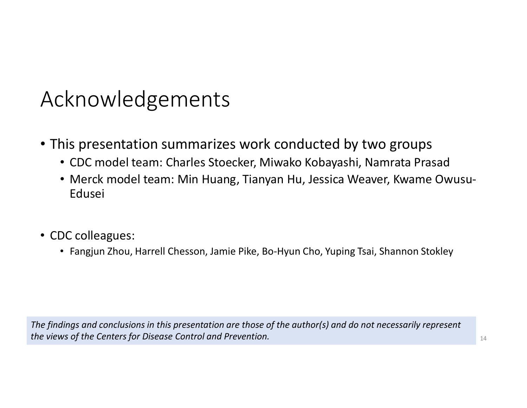### Acknowledgements

- This presentation summarizes work conducted by two groups
	- CDC model team: Charles Stoecker, Miwako Kobayashi, Namrata Prasad
	- Merck model team: Min Huang, Tianyan Hu, Jessica Weaver, Kwame Owusu-Edusei
- CDC colleagues:
	- Fangjun Zhou, Harrell Chesson, Jamie Pike, Bo-Hyun Cho, Yuping Tsai, Shannon Stokley

The findings and conclusions in this presentation are those of the author(s) and do not necessarily represent the views of the Centers for Disease Control and Prevention.